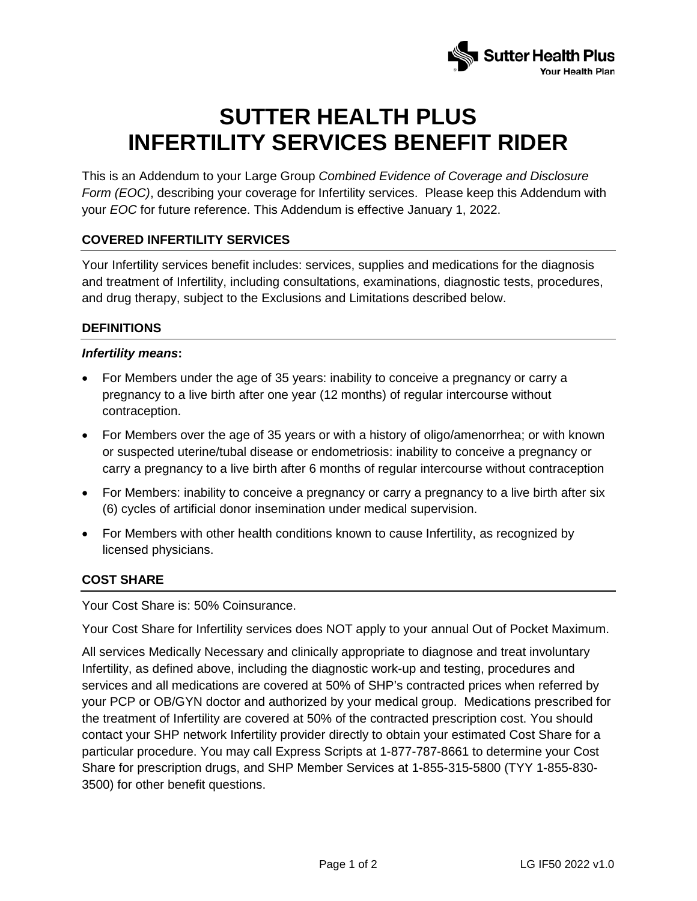

# **SUTTER HEALTH PLUS INFERTILITY SERVICES BENEFIT RIDER**

This is an Addendum to your Large Group *Combined Evidence of Coverage and Disclosure Form (EOC)*, describing your coverage for Infertility services. Please keep this Addendum with your *EOC* for future reference. This Addendum is effective January 1, 2022.

# **COVERED INFERTILITY SERVICES**

Your Infertility services benefit includes: services, supplies and medications for the diagnosis and treatment of Infertility, including consultations, examinations, diagnostic tests, procedures, and drug therapy, subject to the Exclusions and Limitations described below.

## **DEFINITIONS**

#### *Infertility means***:**

- For Members under the age of 35 years: inability to conceive a pregnancy or carry a pregnancy to a live birth after one year (12 months) of regular intercourse without contraception.
- For Members over the age of 35 years or with a history of oligo/amenorrhea; or with known or suspected uterine/tubal disease or endometriosis: inability to conceive a pregnancy or carry a pregnancy to a live birth after 6 months of regular intercourse without contraception
- For Members: inability to conceive a pregnancy or carry a pregnancy to a live birth after six (6) cycles of artificial donor insemination under medical supervision.
- For Members with other health conditions known to cause Infertility, as recognized by licensed physicians.

# **COST SHARE**

Your Cost Share is: 50% Coinsurance.

Your Cost Share for Infertility services does NOT apply to your annual Out of Pocket Maximum.

All services Medically Necessary and clinically appropriate to diagnose and treat involuntary Infertility, as defined above, including the diagnostic work-up and testing, procedures and services and all medications are covered at 50% of SHP's contracted prices when referred by your PCP or OB/GYN doctor and authorized by your medical group. Medications prescribed for the treatment of Infertility are covered at 50% of the contracted prescription cost. You should contact your SHP network Infertility provider directly to obtain your estimated Cost Share for a particular procedure. You may call Express Scripts at 1-877-787-8661 to determine your Cost Share for prescription drugs, and SHP Member Services at 1-855-315-5800 (TYY 1-855-830- 3500) for other benefit questions.